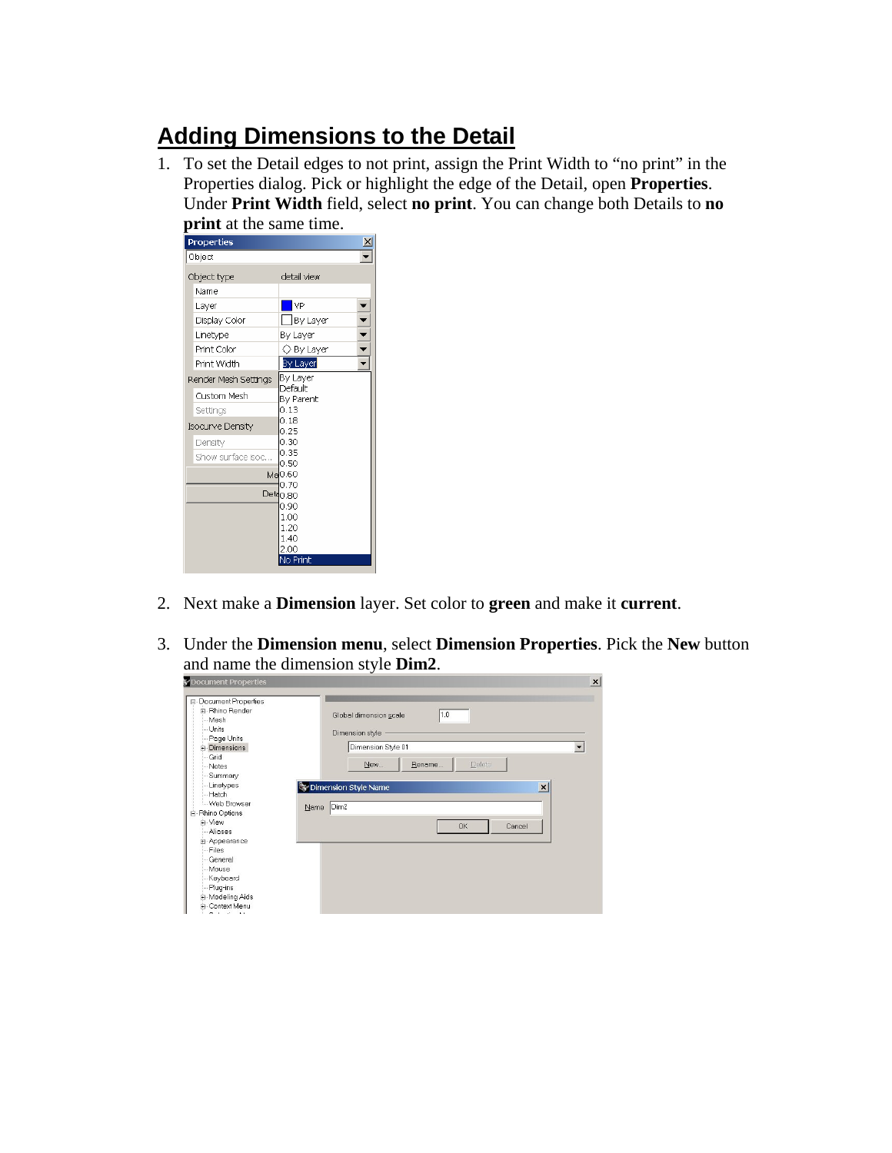## **Adding Dimensions to the Detail**

1. To set the Detail edges to not print, assign the Print Width to "no print" in the Properties dialog. Pick or highlight the edge of the Detail, open **Properties**. Under **Print Width** field, select **no print**. You can change both Details to **no print** at the same time.

| u.<br><b>Properties</b> |                      |
|-------------------------|----------------------|
| Object                  |                      |
| Object type             | detail view          |
| Name                    |                      |
| Layer                   | <b>NP</b>            |
| Display Color           | By Layer             |
| Linetype                | By Layer             |
| Print Color             | √ Bγ Laγer           |
| Print Width             | By Layer             |
| Render Mesh Settings    | By Layer             |
| <b>Custom Mesh</b>      | Default<br>By Parent |
| Settings                | 0.13                 |
| <b>Isocurve Density</b> | 0.18<br>0.25         |
| Density                 | 0.30                 |
| Show surface isoc       | 0.35<br>0.50         |
|                         | Ma0.60               |
|                         | 0.70                 |
|                         | Det <sub>0.80</sub>  |
|                         | 0.90                 |
|                         | 1.00                 |
|                         | 1.20<br>1.40         |
|                         | 2.00                 |
|                         | No Print             |
|                         |                      |

- 2. Next make a **Dimension** layer. Set color to **green** and make it **current**.
- 3. Under the **Dimension menu**, select **Dimension Properties**. Pick the **New** button and name the dimension style **Dim2**.

| <b>Document Properties</b>                                                                                                                                                                                                                                                           |                                                                                                                                                                      | x |
|--------------------------------------------------------------------------------------------------------------------------------------------------------------------------------------------------------------------------------------------------------------------------------------|----------------------------------------------------------------------------------------------------------------------------------------------------------------------|---|
| <b>E-Document Properties</b><br>F-Rhino Render<br>Mesh<br>- Units<br>Page Units<br><b>E</b> -Dimensions<br>Grid<br>Notes<br>Summary<br>Linetypes<br>- Hatch<br>- Web Browser<br>$N$ ame<br><b>E</b> -Rhino Options<br>F-View<br>Aliases<br>+ Appearance<br>Files<br>General<br>Mouse | 1.0<br>Global dimension scale<br>Dimension style<br>Dimension Style 01<br>Delete<br>New<br>Rename<br>$\vert x \vert$<br>Dimension Style Name<br>Dim2<br>OK<br>Cancel |   |
| -Keyboard<br>Plug-ins<br>E-Modeling Aids<br>E- Context Menu<br>$\sim$<br>$\mathbf{r}$<br>$\sim$ 1.                                                                                                                                                                                   |                                                                                                                                                                      |   |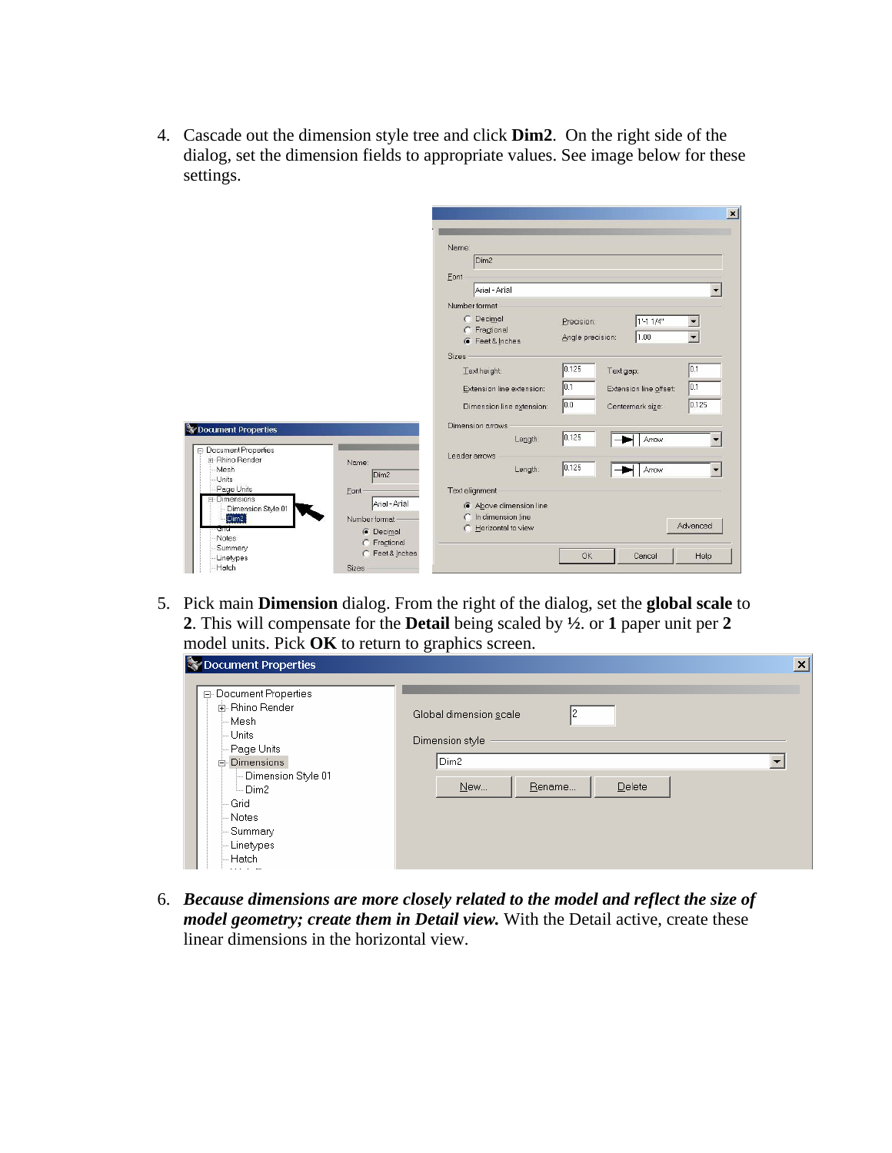4. Cascade out the dimension style tree and click **Dim2**. On the right side of the dialog, set the dimension fields to appropriate values. See image below for these settings.

|                                                |                                    |                                            | $\vert x \vert$                                     |
|------------------------------------------------|------------------------------------|--------------------------------------------|-----------------------------------------------------|
|                                                |                                    | Name:<br>Dim <sub>2</sub><br>Font          |                                                     |
|                                                |                                    | Arial - Arial                              |                                                     |
|                                                |                                    | Number format                              |                                                     |
|                                                |                                    | C Decimal<br>C Fractional<br>Feet & Inches | 1'-1 1/4"<br>Precision:<br>1.00<br>Angle precision: |
|                                                |                                    | <b>Sizes</b>                               |                                                     |
|                                                |                                    | Text height:                               | 0.125<br>10.1<br>Text gap:                          |
|                                                |                                    | Extension line extension:                  | 0.1<br> 0.1<br>Extension line offset:               |
|                                                |                                    | Dimension line extension:                  | 0.125<br> 0.0 <br>Centermark size:                  |
| Document Properties                            |                                    | <b>Dimension arrows</b>                    |                                                     |
|                                                |                                    | Length:                                    | 0.125<br>Arrow                                      |
| <b>E-Document Properties</b><br>F-Rhino Render |                                    | Leader arrows                              |                                                     |
| Mesh<br>Units                                  | Name:<br>Dim <sub>2</sub>          | Length:                                    | 0.125<br>Arrow                                      |
| Page Units                                     | Font                               | Text alignment                             |                                                     |
| <b>E</b> -Dimensions<br>Dimension Style 01     | Arial - Arial                      | Above dimension line                       |                                                     |
| Dim2                                           | Number format                      | In dimension line<br>Horizontal to view    | Advanced                                            |
| ਗਾਰ<br>Notes                                   | <b>C</b> Decimal                   |                                            |                                                     |
| Summary                                        | C Fractional<br>Feet & Inches<br>C |                                            | Help<br>OK<br>Cancel                                |
| Linetypes<br>Hatch                             | <b>Sizes</b>                       |                                            |                                                     |

5. Pick main **Dimension** dialog. From the right of the dialog, set the **global scale** to **2**. This will compensate for the **Detail** being scaled by **½**. or **1** paper unit per **2** model units. Pick **OK** to return to graphics screen.

| S Document Properties                                                                                                                                                                                                       |                                                                                          | $\vert x \vert$ |
|-----------------------------------------------------------------------------------------------------------------------------------------------------------------------------------------------------------------------------|------------------------------------------------------------------------------------------|-----------------|
| 日 Document Properties<br>面- Rhino Render<br>⊢Mesh.<br>└ Units<br>- Page Units<br>⊟-Dimensions<br>- Dimension Style 01<br>└ Dim2<br>Grid<br>i– Notes i<br>– Summary<br>-- Linetypes<br>– Hatch<br><b><i>ALCOHOL: YES</i></b> | Global dimension scale<br>Dimension style<br>Dim <sub>2</sub><br>Delete<br>Rename<br>New |                 |

6. *Because dimensions are more closely related to the model and reflect the size of model geometry; create them in Detail view.* With the Detail active, create these linear dimensions in the horizontal view.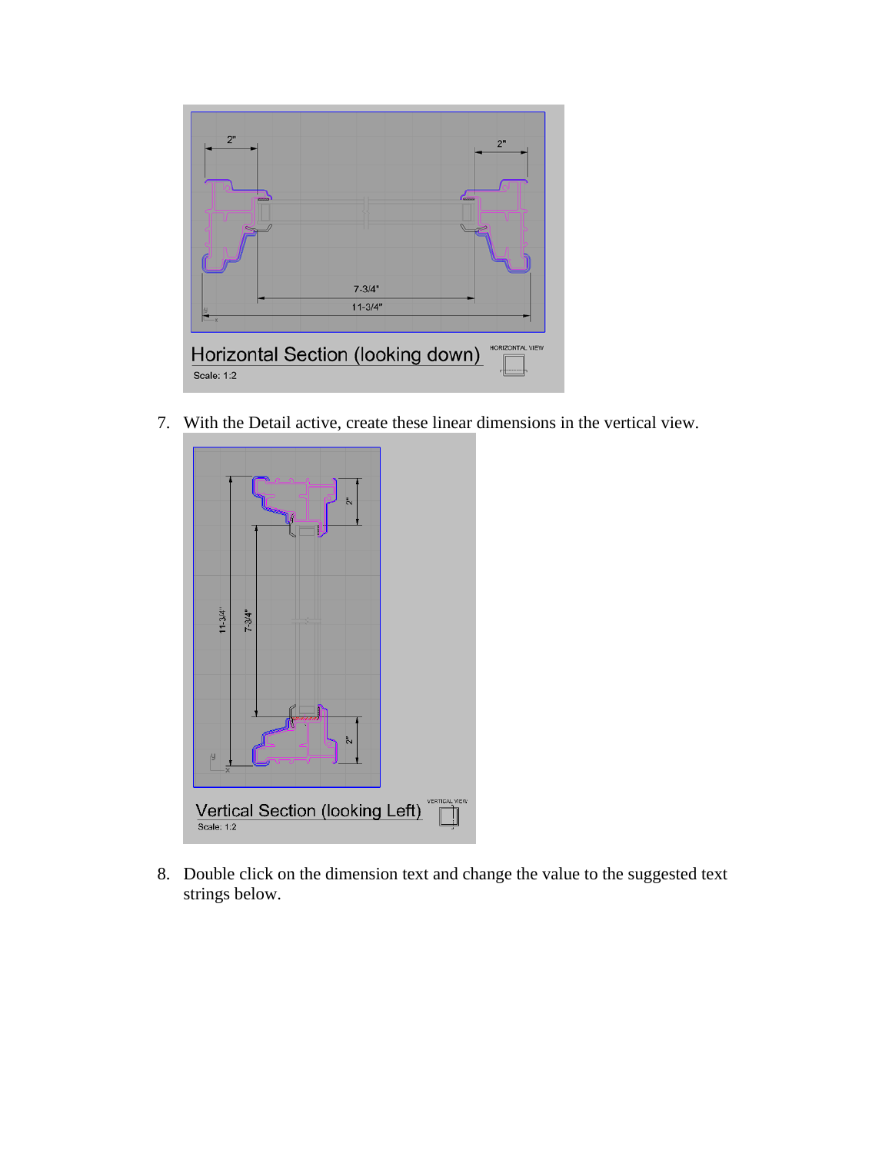

7. With the Detail active, create these linear dimensions in the vertical view.



8. Double click on the dimension text and change the value to the suggested text strings below.